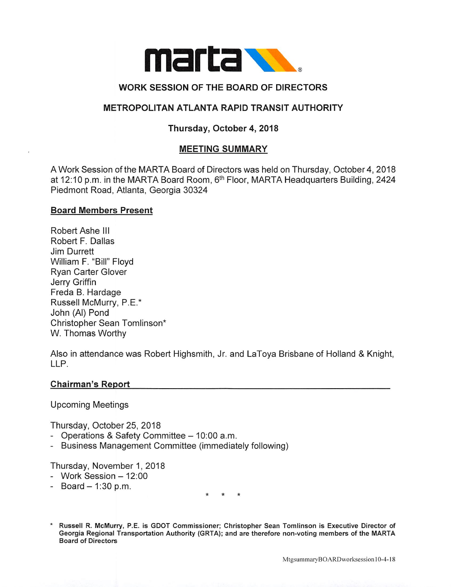

# WORK SESSION OF THE BOARD OF DIRECTORS

# METROPOLITAN ATLANTA RAPID TRANSIT AUTHORITY

# Thursday, October 4, 2018

### MEETING SUMMARY

A Work Session of the MARTA Board of Directors was held on Thursday, October 4, 2018 at 12:10 p.m. in the MARTA Board Room, 6<sup>th</sup> Floor, MARTA Headquarters Building, 2424 Piedmont Road, Atlanta, Georgia 30324

#### Board Members Present

Robert Ashe III Robert F. Dallas Jim Durrett William F. "Bill" Floyd Ryan Carter Glover Jerry Griffin Freda B. Hardage Russell McMurry, P.E.\* John (Al) Pond Christopher Sean Tomlinson\* W. Thomas Worthy

Also in attendance was Robert Highsmith, Jr. and LaToya Brisbane of Holland & Knight, LLP.

#### Chairman's Report

Upcoming Meetings

Thursday. October 25, 2018

- Operations & Safety Committee 10:00 a.m.
- Business Management Committee (immediately following)

Thursday, November 1, 2018

- $-$  Work Session  $-12:00$
- $-$  Board  $-$  1:30 p.m.

Russell R. McMurry, P.E. is GDOT Commissioner; Christopher Sean Tomlinson is Executive Director of Georgia Regional Transportation Authority (GRTA); and are therefore non-voting members of the MARTA Board of Directors